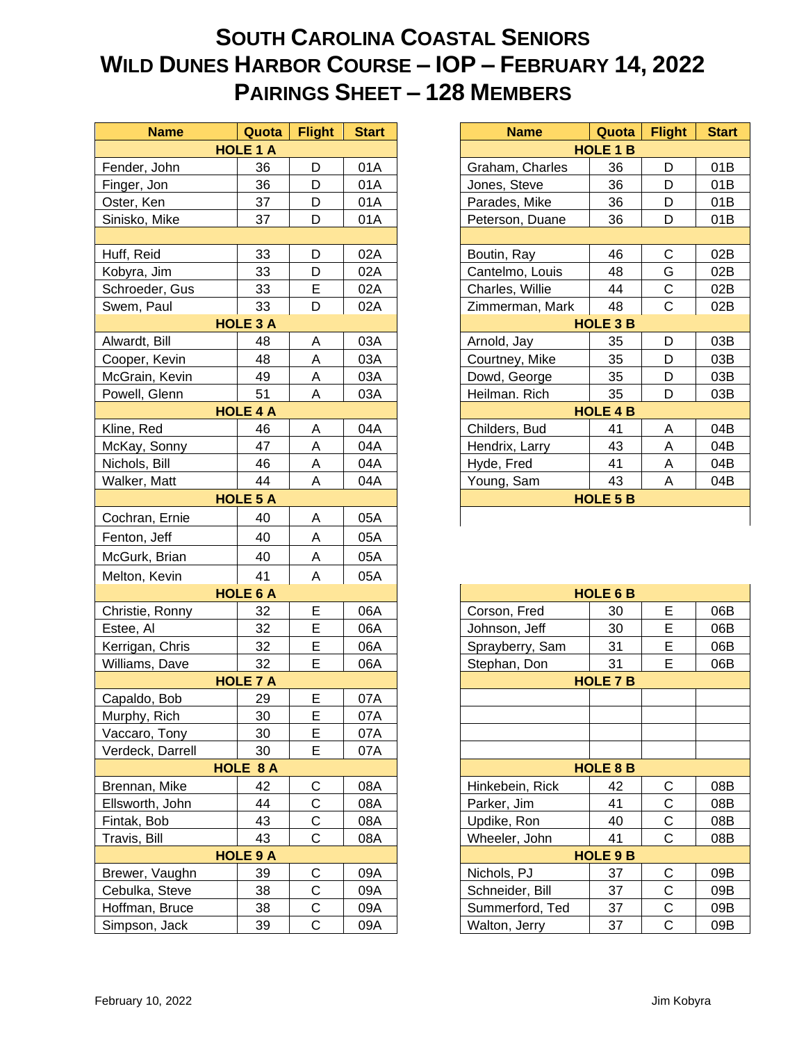## **SOUTH CAROLINA COASTAL SENIORS WILD DUNES HARBOR COURSE – IOP – FEBRUARY 14, 2022 PAIRINGS SHEET – 128 MEMBERS**

| <b>Name</b>      | Quota           | <b>Flight</b> | <b>Start</b> | Quota<br><b>Name</b>  | <b>Flight</b><br>Start |
|------------------|-----------------|---------------|--------------|-----------------------|------------------------|
|                  | <b>HOLE 1 A</b> |               |              | <b>HOLE 1 B</b>       |                        |
| Fender, John     | 36              | D             | 01A          | Graham, Charles<br>36 | D<br>01B               |
| Finger, Jon      | 36              | D             | 01A          | 36<br>Jones, Steve    | D<br>01B               |
| Oster, Ken       | 37              | D             | 01A          | Parades, Mike<br>36   | D<br>01B               |
| Sinisko, Mike    | 37              | D             | 01A          | 36<br>Peterson, Duane | D<br>01B               |
|                  |                 |               |              |                       |                        |
| Huff, Reid       | 33              | D             | 02A          | 46<br>Boutin, Ray     | $\mathsf C$<br>02B     |
| Kobyra, Jim      | 33              | D             | 02A          | 48<br>Cantelmo, Louis | G<br>02B               |
| Schroeder, Gus   | 33              | E             | 02A          | Charles, Willie<br>44 | $\mathsf C$<br>02B     |
| Swem, Paul       | 33              | D             | 02A          | 48<br>Zimmerman, Mark | $\mathsf{C}$<br>02B    |
|                  | <b>HOLE 3 A</b> |               |              | <b>HOLE 3 B</b>       |                        |
| Alwardt, Bill    | 48              | Α             | 03A          | Arnold, Jay<br>35     | D<br>03B               |
| Cooper, Kevin    | 48              | Α             | 03A          | Courtney, Mike<br>35  | D<br>03B               |
| McGrain, Kevin   | 49              | Α             | 03A          | Dowd, George<br>35    | D<br>03B               |
| Powell, Glenn    | 51              | A             | 03A          | 35<br>Heilman. Rich   | D<br>03B               |
|                  | <b>HOLE 4 A</b> |               |              | <b>HOLE 4 B</b>       |                        |
| Kline, Red       | 46              | A             | 04A          | Childers, Bud<br>41   | 04B<br>А               |
| McKay, Sonny     | 47              | Α             | 04A          | 43<br>Hendrix, Larry  | 04B<br>Α               |
| Nichols, Bill    | 46              | Α             | 04A          | Hyde, Fred<br>41      | 04B<br>Α               |
| Walker, Matt     | 44              | A             | 04A          | 43<br>Young, Sam      | A<br>04B               |
|                  | <b>HOLE 5 A</b> |               |              | <b>HOLE 5 B</b>       |                        |
| Cochran, Ernie   | 40              | Α             | 05A          |                       |                        |
| Fenton, Jeff     | 40              | Α             | 05A          |                       |                        |
| McGurk, Brian    | 40              | Α             | 05A          |                       |                        |
| Melton, Kevin    | 41              | A             | 05A          |                       |                        |
|                  | <b>HOLE 6 A</b> |               |              | <b>HOLE 6 B</b>       |                        |
| Christie, Ronny  | 32              | E             | 06A          | Corson, Fred<br>30    | E<br>06B               |
| Estee, Al        | 32              | E             | 06A          | 30<br>Johnson, Jeff   | E<br>06B               |
| Kerrigan, Chris  | 32              | E             | 06A          | Sprayberry, Sam<br>31 | E<br>06B               |
| Williams, Dave   | 32              | E             | 06A          | 31<br>Stephan, Don    | E<br>06B               |
|                  | <b>HOLE 7 A</b> |               |              | <b>HOLE 7 B</b>       |                        |
| Capaldo, Bob     | 29              | E             | 07A          |                       |                        |
| Murphy, Rich     | 30              | E             | 07A          |                       |                        |
| Vaccaro, Tony    | 30              | E             | 07A          |                       |                        |
| Verdeck, Darrell | 30              | E             | 07A          |                       |                        |
|                  | HOLE 8 A        |               |              | <b>HOLE 8 B</b>       |                        |
| Brennan, Mike    | 42              | С             | 08A          | Hinkebein, Rick<br>42 | 08B<br>С               |
| Ellsworth, John  | 44              | C             | 08A          | Parker, Jim<br>41     | C<br>08B               |
| Fintak, Bob      | 43              | С             | 08A          | Updike, Ron<br>40     | C<br>08B               |
| Travis, Bill     | 43              | $\mathsf C$   | 08A          | 41<br>Wheeler, John   | $\mathsf C$<br>08B     |
|                  | <b>HOLE 9 A</b> |               |              | <b>HOLE 9 B</b>       |                        |
| Brewer, Vaughn   | 39              | C             | 09A          | Nichols, PJ<br>37     | С<br>09B               |
| Cebulka, Steve   | 38              | C             | 09A          | Schneider, Bill<br>37 | $\mathsf C$<br>09B     |
| Hoffman, Bruce   | 38              | C             | 09A          | Summerford, Ted<br>37 | $\mathsf C$<br>09B     |
| Simpson, Jack    | 39              | $\mathsf C$   | 09A          | Walton, Jerry<br>37   | $\mathbf C$<br>09B     |

| <b>Name</b>     | Quota           | <b>Flight</b> | <b>Start</b>    | <b>Name</b>              | Quota           | <b>Flight</b> | <b>Start</b> |
|-----------------|-----------------|---------------|-----------------|--------------------------|-----------------|---------------|--------------|
| <b>HOLE 1 A</b> |                 |               | <b>HOLE 1 B</b> |                          |                 |               |              |
| John            | 36              | D             | 01A             | Graham, Charles          | 36              | D             | 01B          |
| Jon             | 36              | D             | 01A             | Jones, Steve             | 36              | D             | 01B          |
| .en             | 37              | D             | 01A             | Parades, Mike            | 36              | D             | 01B          |
| Mike            | 37              | D             | 01A             | Peterson, Duane          | 36              | D             | 01B          |
|                 |                 |               |                 |                          |                 |               |              |
| bi              | 33              | D             | 02A             | Boutin, Ray              | 46              | C             | 02B          |
| Jim             | 33              | D             | 02A             | Cantelmo, Louis          | 48              | G             | 02B          |
| der, Gus        | 33              | E             | 02A             | Charles, Willie          | 44              | C             | 02B          |
| Paul            | 33              | D             | 02A             | 48<br>Zimmerman, Mark    |                 | C             | 02B          |
| <b>HOLE 3 A</b> |                 |               |                 | <b>HOLE 3 B</b>          |                 |               |              |
| Bill            | 48              | Α             | 03A             | Arnold, Jay              | 35              | D             | 03B          |
| Kevin           | 48              | Α             | 03A             | Courtney, Mike           | 35              | D             | 03B          |
| າ, Kevin        | 49              | A             | 03A             | Dowd, George             | 35              | D             | 03B          |
| Glenn           | 51              | A             | 03A             | Heilman. Rich<br>35<br>D |                 | 03B           |              |
| <b>HOLE 4 A</b> |                 |               |                 |                          | <b>HOLE 4 B</b> |               |              |
| ed              | 46              | Α             | 04A             | Childers, Bud            | 41              | A             | 04B          |
| Sonny           | 47              | A             | 04A             | Hendrix, Larry           |                 | A             | 04B          |
| Bill            | 46              | Α             | 04A             | Hyde, Fred<br>41<br>A    |                 |               | 04B          |
| Matt            | 44              | A             | 04A             | Young, Sam               | 43              | A             | 04B          |
|                 | <b>HOLE 5 A</b> |               |                 |                          | <b>HOLE 5 B</b> |               |              |
| າ, Ernie        | 40              | A             | 05A             |                          |                 |               |              |

| <b>HOLE 6 A</b>  |                 |              |     |                          | <b>HOLE 6 B</b> |   |     |
|------------------|-----------------|--------------|-----|--------------------------|-----------------|---|-----|
| Christie, Ronny  | 32              | E            | 06A | Corson, Fred             | E<br>30         |   | 06B |
| Estee, Al        | 32              | E            | 06A | Johnson, Jeff            | 30              | E | 06B |
| Kerrigan, Chris  | 32              | E            | 06A | Sprayberry, Sam          | 31              | E | 06B |
| Williams, Dave   | 32              | Е            | 06A | Stephan, Don             | 31              | E | 06B |
|                  | <b>HOLE 7 A</b> |              |     |                          | <b>HOLE 7 B</b> |   |     |
| Capaldo, Bob     | 29              | E            | 07A |                          |                 |   |     |
| Murphy, Rich     | 30              | E            | 07A |                          |                 |   |     |
| Vaccaro, Tony    | 30              | E            | 07A |                          |                 |   |     |
| Verdeck, Darrell | 30              | E            | 07A |                          |                 |   |     |
|                  | HOLE 8 A        |              |     |                          | <b>HOLE 8 B</b> |   |     |
| Brennan, Mike    | 42              | $\mathsf{C}$ | 08A | Hinkebein, Rick          | C<br>42         |   | 08B |
| Ellsworth, John  | 44              | C            | 08A | Parker, Jim              | С<br>41         |   | 08B |
| Fintak, Bob      | 43              | $\mathsf{C}$ | 08A | Updike, Ron              | 40              | С | 08B |
| Travis, Bill     | 43              | C            | 08A | Wheeler, John<br>C<br>41 |                 |   | 08B |
| <b>HOLE 9 A</b>  |                 |              |     | <b>HOLE 9 B</b>          |                 |   |     |
| Brewer, Vaughn   | 39              | $\mathsf{C}$ | 09A | Nichols, PJ              | C<br>37         |   | 09B |
| Cebulka, Steve   | 38              | C            | 09A | Schneider, Bill          | С<br>37         |   | 09B |
| Hoffman, Bruce   | 38              | $\mathsf{C}$ | 09A | Summerford, Ted          | C<br>37         |   | 09B |
| Simpson, Jack    | 39              | C            | 09A | Walton, Jerry            | 37              | C | 09B |